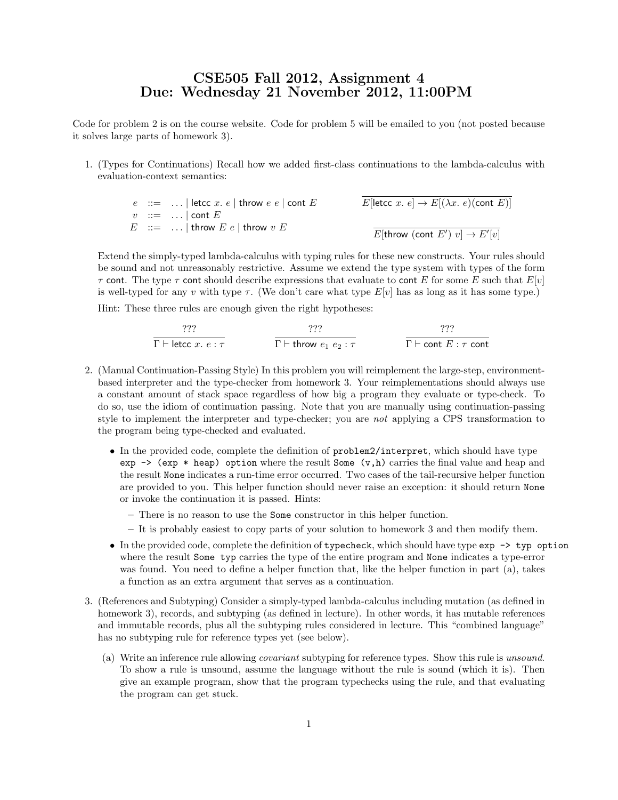## CSE505 Fall 2012, Assignment 4 Due: Wednesday 21 November 2012, 11:00PM

Code for problem 2 is on the course website. Code for problem 5 will be emailed to you (not posted because it solves large parts of homework 3).

1. (Types for Continuations) Recall how we added first-class continuations to the lambda-calculus with evaluation-context semantics:

 $e$  ::= ... | letcc x. e | throw  $e$  e | cont E  $v$  ::= ... | cont E  $E$  ::= ... | throw  $E e$  | throw  $v E$  $E[\text{letcc } x. \ e] \rightarrow E[(\lambda x. \ e) (\text{cont } E)]$  $E[\text{throw (cont } E')\ v] \rightarrow E'[v]$ 

Extend the simply-typed lambda-calculus with typing rules for these new constructs. Your rules should be sound and not unreasonably restrictive. Assume we extend the type system with types of the form  $\tau$  cont. The type  $\tau$  cont should describe expressions that evaluate to cont E for some E such that  $E[v]$ is well-typed for any v with type  $\tau$ . (We don't care what type  $E[v]$  has as long as it has some type.)

Hint: These three rules are enough given the right hypotheses:

$$
\frac{??}{\Gamma \vdash \text{letcc } x. \ e : \tau} \qquad \qquad \frac{??}{\Gamma \vdash \text{throw } e_1 \ e_2 : \tau} \qquad \qquad \frac{??}{\Gamma \vdash \text{cont } E : \tau \text{ cont}}
$$

- 2. (Manual Continuation-Passing Style) In this problem you will reimplement the large-step, environmentbased interpreter and the type-checker from homework 3. Your reimplementations should always use a constant amount of stack space regardless of how big a program they evaluate or type-check. To do so, use the idiom of continuation passing. Note that you are manually using continuation-passing style to implement the interpreter and type-checker; you are not applying a CPS transformation to the program being type-checked and evaluated.
	- In the provided code, complete the definition of problem2/interpret, which should have type exp  $\rightarrow$  (exp  $*$  heap) option where the result Some (v, h) carries the final value and heap and the result None indicates a run-time error occurred. Two cases of the tail-recursive helper function are provided to you. This helper function should never raise an exception: it should return None or invoke the continuation it is passed. Hints:
		- There is no reason to use the Some constructor in this helper function.
		- It is probably easiest to copy parts of your solution to homework 3 and then modify them.
	- In the provided code, complete the definition of typecheck, which should have type exp -> typ option where the result Some typ carries the type of the entire program and None indicates a type-error was found. You need to define a helper function that, like the helper function in part (a), takes a function as an extra argument that serves as a continuation.
- 3. (References and Subtyping) Consider a simply-typed lambda-calculus including mutation (as defined in homework 3), records, and subtyping (as defined in lecture). In other words, it has mutable references and immutable records, plus all the subtyping rules considered in lecture. This "combined language" has no subtyping rule for reference types yet (see below).
	- (a) Write an inference rule allowing covariant subtyping for reference types. Show this rule is unsound. To show a rule is unsound, assume the language without the rule is sound (which it is). Then give an example program, show that the program typechecks using the rule, and that evaluating the program can get stuck.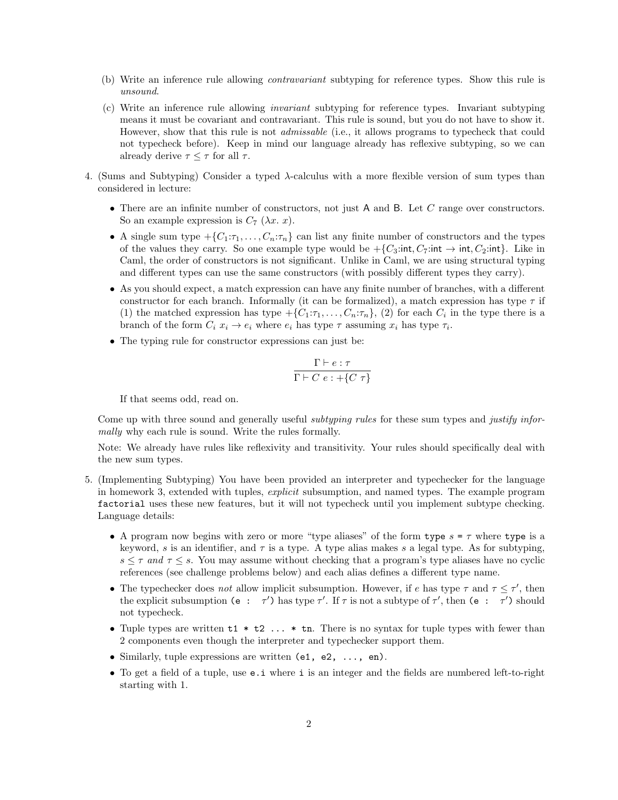- (b) Write an inference rule allowing contravariant subtyping for reference types. Show this rule is unsound.
- (c) Write an inference rule allowing invariant subtyping for reference types. Invariant subtyping means it must be covariant and contravariant. This rule is sound, but you do not have to show it. However, show that this rule is not *admissable* (i.e., it allows programs to typecheck that could not typecheck before). Keep in mind our language already has reflexive subtyping, so we can already derive  $\tau \leq \tau$  for all  $\tau$ .
- 4. (Sums and Subtyping) Consider a typed  $\lambda$ -calculus with a more flexible version of sum types than considered in lecture:
	- There are an infinite number of constructors, not just A and B. Let C range over constructors. So an example expression is  $C_7$  ( $\lambda x$ . x).
	- A single sum type  $\{C_1:\tau_1,\ldots,C_n:\tau_n\}$  can list any finite number of constructors and the types of the values they carry. So one example type would be  $+\{C_3:\text{int}, C_7:\text{int} \rightarrow \text{int}, C_2:\text{int}\}.$  Like in Caml, the order of constructors is not significant. Unlike in Caml, we are using structural typing and different types can use the same constructors (with possibly different types they carry).
	- As you should expect, a match expression can have any finite number of branches, with a different constructor for each branch. Informally (it can be formalized), a match expression has type  $\tau$  if (1) the matched expression has type  $\{C_1:\tau_1,\ldots,C_n:\tau_n\}$ , (2) for each  $C_i$  in the type there is a branch of the form  $C_i$   $x_i \rightarrow e_i$  where  $e_i$  has type  $\tau$  assuming  $x_i$  has type  $\tau_i$ .
	- The typing rule for constructor expressions can just be:

$$
\frac{\Gamma \vdash e : \tau}{\Gamma \vdash C \ e : +\{C \ \tau\}}
$$

If that seems odd, read on.

Come up with three sound and generally useful subtyping rules for these sum types and justify informally why each rule is sound. Write the rules formally.

Note: We already have rules like reflexivity and transitivity. Your rules should specifically deal with the new sum types.

- 5. (Implementing Subtyping) You have been provided an interpreter and typechecker for the language in homework 3, extended with tuples, explicit subsumption, and named types. The example program factorial uses these new features, but it will not typecheck until you implement subtype checking. Language details:
	- A program now begins with zero or more "type aliases" of the form type  $s = \tau$  where type is a keyword, s is an identifier, and  $\tau$  is a type. A type alias makes s a legal type. As for subtyping,  $s \leq \tau$  and  $\tau \leq s$ . You may assume without checking that a program's type aliases have no cyclic references (see challenge problems below) and each alias defines a different type name.
	- The typechecker does not allow implicit subsumption. However, if e has type  $\tau$  and  $\tau \leq \tau'$ , then the explicit subsumption (e :  $\tau'$ ) has type  $\tau'$ . If  $\tau$  is not a subtype of  $\tau'$ , then (e :  $\tau'$ ) should not typecheck.
	- Tuple types are written  $t1 * t2 \ldots * t$ n. There is no syntax for tuple types with fewer than 2 components even though the interpreter and typechecker support them.
	- Similarly, tuple expressions are written (e1, e2, ..., en).
	- To get a field of a tuple, use **e** i where i is an integer and the fields are numbered left-to-right starting with 1.